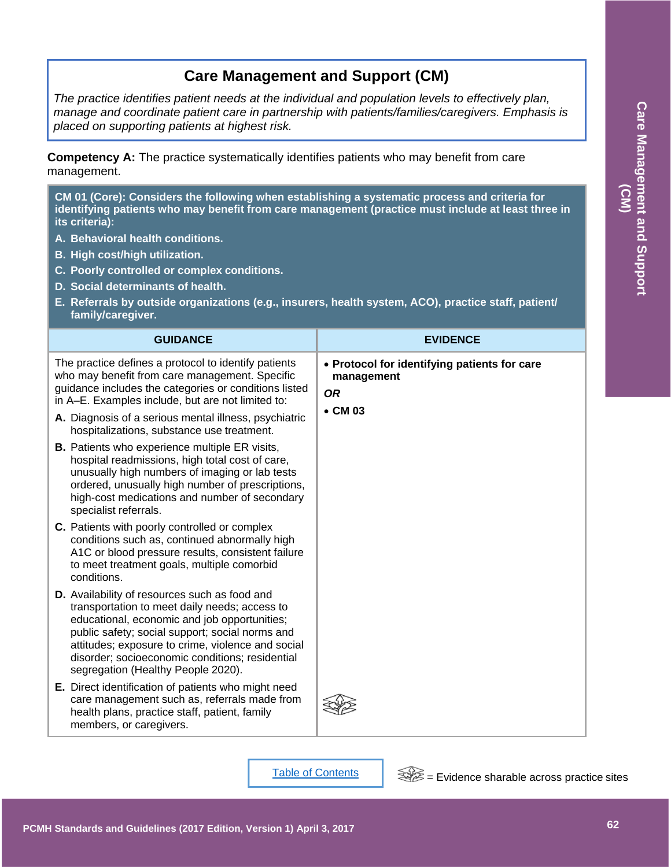# **Care Management and Support (CM)**

*The practice identifies patient needs at the individual and population levels to effectively plan, manage and coordinate patient care in partnership with patients/families/caregivers. Emphasis is placed on supporting patients at highest risk.* 

**Competency A:** The practice systematically identifies patients who may benefit from care management.

**CM 01 (Core): Considers the following when establishing a systematic process and criteria for identifying patients who may benefit from care management (practice must include at least three in its criteria):**

- **A. Behavioral health conditions.**
- **B. High cost/high utilization.**
- **C. Poorly controlled or complex conditions.**
- **D. Social determinants of health.**
- **E. Referrals by outside organizations (e.g., insurers, health system, ACO), practice staff, patient/ family/caregiver.**

| <b>GUIDANCE</b>                                                                                                                                                                                                                                                                                                                                        | <b>EVIDENCE</b>                                                                            |
|--------------------------------------------------------------------------------------------------------------------------------------------------------------------------------------------------------------------------------------------------------------------------------------------------------------------------------------------------------|--------------------------------------------------------------------------------------------|
| The practice defines a protocol to identify patients<br>who may benefit from care management. Specific<br>guidance includes the categories or conditions listed<br>in A-E. Examples include, but are not limited to:<br>A. Diagnosis of a serious mental illness, psychiatric                                                                          | • Protocol for identifying patients for care<br>management<br><b>OR</b><br>$\bullet$ CM 03 |
| hospitalizations, substance use treatment.<br><b>B.</b> Patients who experience multiple ER visits,<br>hospital readmissions, high total cost of care,<br>unusually high numbers of imaging or lab tests<br>ordered, unusually high number of prescriptions,<br>high-cost medications and number of secondary<br>specialist referrals.                 |                                                                                            |
| C. Patients with poorly controlled or complex<br>conditions such as, continued abnormally high<br>A1C or blood pressure results, consistent failure<br>to meet treatment goals, multiple comorbid<br>conditions.                                                                                                                                       |                                                                                            |
| <b>D.</b> Availability of resources such as food and<br>transportation to meet daily needs; access to<br>educational, economic and job opportunities;<br>public safety; social support; social norms and<br>attitudes; exposure to crime, violence and social<br>disorder; socioeconomic conditions; residential<br>segregation (Healthy People 2020). |                                                                                            |
| E. Direct identification of patients who might need<br>care management such as, referrals made from<br>health plans, practice staff, patient, family<br>members, or caregivers.                                                                                                                                                                        |                                                                                            |

Table of Contents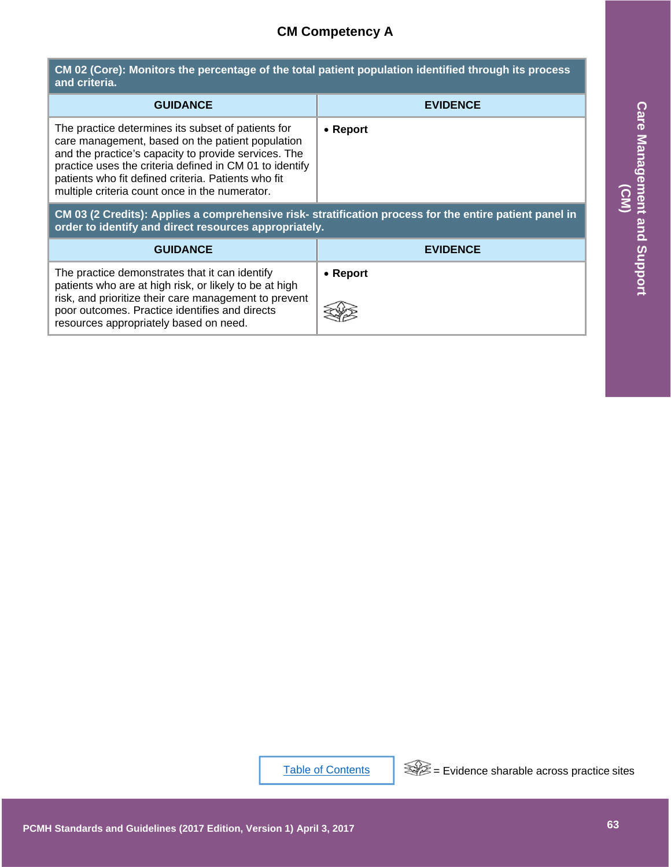### **CM Competency A**

**CM 02 (Core): Monitors the percentage of the total patient population identified through its process and criteria.**

| <b>GUIDANCE</b>                                                                                                                                                                                                                                                                                                                    | <b>EVIDENCE</b>  |
|------------------------------------------------------------------------------------------------------------------------------------------------------------------------------------------------------------------------------------------------------------------------------------------------------------------------------------|------------------|
| The practice determines its subset of patients for<br>care management, based on the patient population<br>and the practice's capacity to provide services. The<br>practice uses the criteria defined in CM 01 to identify<br>patients who fit defined criteria. Patients who fit<br>multiple criteria count once in the numerator. | $\bullet$ Report |

| <b>GUIDANCE</b>                                                                                                                                                                                                                                                                                                                    | <b>EVIDENCE</b>                                                                                         |                                        |
|------------------------------------------------------------------------------------------------------------------------------------------------------------------------------------------------------------------------------------------------------------------------------------------------------------------------------------|---------------------------------------------------------------------------------------------------------|----------------------------------------|
| The practice determines its subset of patients for<br>care management, based on the patient population<br>and the practice's capacity to provide services. The<br>practice uses the criteria defined in CM 01 to identify<br>patients who fit defined criteria. Patients who fit<br>multiple criteria count once in the numerator. | • Report                                                                                                | <b>Care Management</b><br>$\bf \Omega$ |
| order to identify and direct resources appropriately.                                                                                                                                                                                                                                                                              | CM 03 (2 Credits): Applies a comprehensive risk- stratification process for the entire patient panel in |                                        |
| <b>GUIDANCE</b>                                                                                                                                                                                                                                                                                                                    | <b>EVIDENCE</b>                                                                                         |                                        |
| The practice demonstrates that it can identify<br>patients who are at high risk, or likely to be at high<br>risk, and prioritize their care management to prevent<br>poor outcomes. Practice identifies and directs<br>resources appropriately based on need.                                                                      | • Report                                                                                                | and Support                            |
|                                                                                                                                                                                                                                                                                                                                    |                                                                                                         |                                        |
|                                                                                                                                                                                                                                                                                                                                    |                                                                                                         |                                        |
|                                                                                                                                                                                                                                                                                                                                    |                                                                                                         |                                        |
|                                                                                                                                                                                                                                                                                                                                    |                                                                                                         |                                        |
|                                                                                                                                                                                                                                                                                                                                    |                                                                                                         |                                        |
|                                                                                                                                                                                                                                                                                                                                    |                                                                                                         |                                        |
|                                                                                                                                                                                                                                                                                                                                    |                                                                                                         |                                        |
|                                                                                                                                                                                                                                                                                                                                    |                                                                                                         |                                        |
|                                                                                                                                                                                                                                                                                                                                    | $\mathbb{R}^2$ = Evidence sharable across practice sites<br><b>Table of Contents</b>                    |                                        |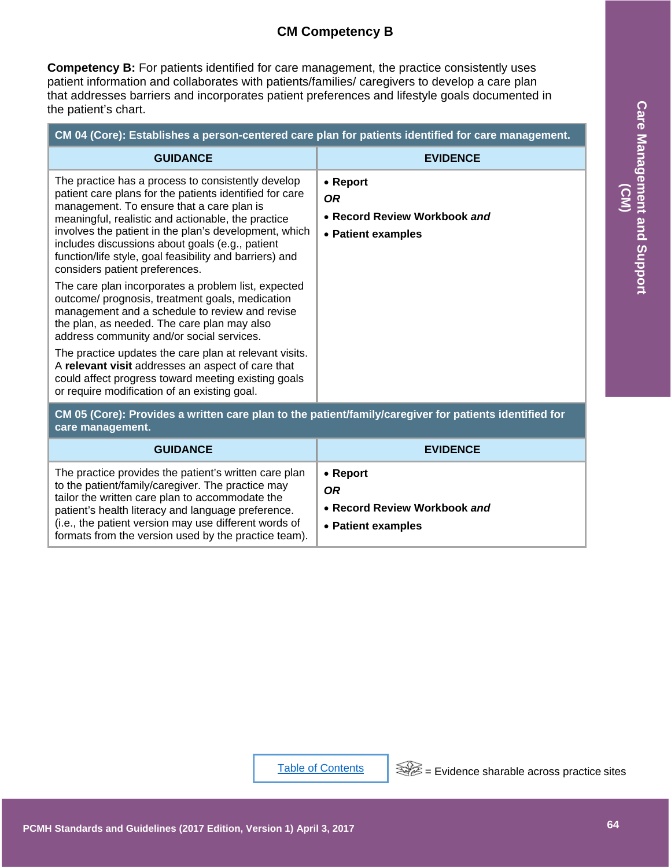#### **CM Competency B**

**Competency B:** For patients identified for care management, the practice consistently uses patient information and collaborates with patients/families/ caregivers to develop a care plan that addresses barriers and incorporates patient preferences and lifestyle goals documented in the patient's chart.

| CM 04 (Core): Establishes a person-centered care plan for patients identified for care management.                                                                                                                                                                                                                                                                                                                        |                                                                       |
|---------------------------------------------------------------------------------------------------------------------------------------------------------------------------------------------------------------------------------------------------------------------------------------------------------------------------------------------------------------------------------------------------------------------------|-----------------------------------------------------------------------|
| <b>GUIDANCE</b>                                                                                                                                                                                                                                                                                                                                                                                                           | <b>EVIDENCE</b>                                                       |
| The practice has a process to consistently develop<br>patient care plans for the patients identified for care<br>management. To ensure that a care plan is<br>meaningful, realistic and actionable, the practice<br>involves the patient in the plan's development, which<br>includes discussions about goals (e.g., patient<br>function/life style, goal feasibility and barriers) and<br>considers patient preferences. | • Report<br>OR.<br>• Record Review Workbook and<br>• Patient examples |
| The care plan incorporates a problem list, expected<br>outcome/ prognosis, treatment goals, medication<br>management and a schedule to review and revise<br>the plan, as needed. The care plan may also<br>address community and/or social services.                                                                                                                                                                      |                                                                       |
| The practice updates the care plan at relevant visits.<br>A relevant visit addresses an aspect of care that<br>could affect progress toward meeting existing goals<br>or require modification of an existing goal.                                                                                                                                                                                                        |                                                                       |

**CM 05 (Core): Provides a written care plan to the patient/family/caregiver for patients identified for care management.**

| <b>GUIDANCE</b>                                                                                                                                                                                                                                                                                                                      | <b>EVIDENCE</b>                                                                     |
|--------------------------------------------------------------------------------------------------------------------------------------------------------------------------------------------------------------------------------------------------------------------------------------------------------------------------------------|-------------------------------------------------------------------------------------|
| The practice provides the patient's written care plan<br>to the patient/family/caregiver. The practice may<br>tailor the written care plan to accommodate the<br>patient's health literacy and language preference.<br>(i.e., the patient version may use different words of<br>formats from the version used by the practice team). | $\bullet$ Report<br><b>OR</b><br>• Record Review Workbook and<br>• Patient examples |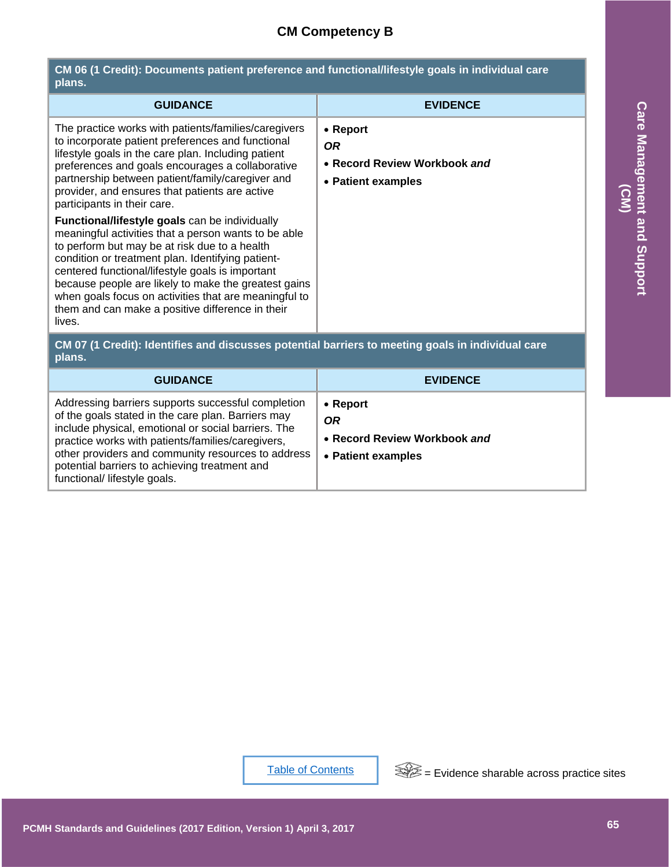## **CM Competency B**

| CM 06 (1 Credit): Documents patient preference and functional/lifestyle goals in individual care<br>plans.                                                                                                                                                                                                                                                                                                                                                                                                                                                                                                                                                                                                                                                                                                   |                                                                             |  |
|--------------------------------------------------------------------------------------------------------------------------------------------------------------------------------------------------------------------------------------------------------------------------------------------------------------------------------------------------------------------------------------------------------------------------------------------------------------------------------------------------------------------------------------------------------------------------------------------------------------------------------------------------------------------------------------------------------------------------------------------------------------------------------------------------------------|-----------------------------------------------------------------------------|--|
| <b>GUIDANCE</b>                                                                                                                                                                                                                                                                                                                                                                                                                                                                                                                                                                                                                                                                                                                                                                                              | <b>EVIDENCE</b>                                                             |  |
| The practice works with patients/families/caregivers<br>to incorporate patient preferences and functional<br>lifestyle goals in the care plan. Including patient<br>preferences and goals encourages a collaborative<br>partnership between patient/family/caregiver and<br>provider, and ensures that patients are active<br>participants in their care.<br>Functional/lifestyle goals can be individually<br>meaningful activities that a person wants to be able<br>to perform but may be at risk due to a health<br>condition or treatment plan. Identifying patient-<br>centered functional/lifestyle goals is important<br>because people are likely to make the greatest gains<br>when goals focus on activities that are meaningful to<br>them and can make a positive difference in their<br>lives. | • Report<br><b>OR</b><br>• Record Review Workbook and<br>• Patient examples |  |
| CM 07 (1 Credit): Identifies and discusses potential barriers to meeting goals in individual care<br>plans.                                                                                                                                                                                                                                                                                                                                                                                                                                                                                                                                                                                                                                                                                                  |                                                                             |  |
| <b>GUIDANCE</b>                                                                                                                                                                                                                                                                                                                                                                                                                                                                                                                                                                                                                                                                                                                                                                                              | <b>EVIDENCE</b>                                                             |  |
| Addressing barriers supports successful completion<br>of the goals stated in the care plan. Barriers may<br>include physical, emotional or social barriers. The<br>practice works with patients/families/caregivers,<br>other providers and community resources to address<br>potential barriers to achieving treatment and<br>functional/ lifestyle goals.                                                                                                                                                                                                                                                                                                                                                                                                                                                  | • Report<br><b>OR</b><br>• Record Review Workbook and<br>• Patient examples |  |